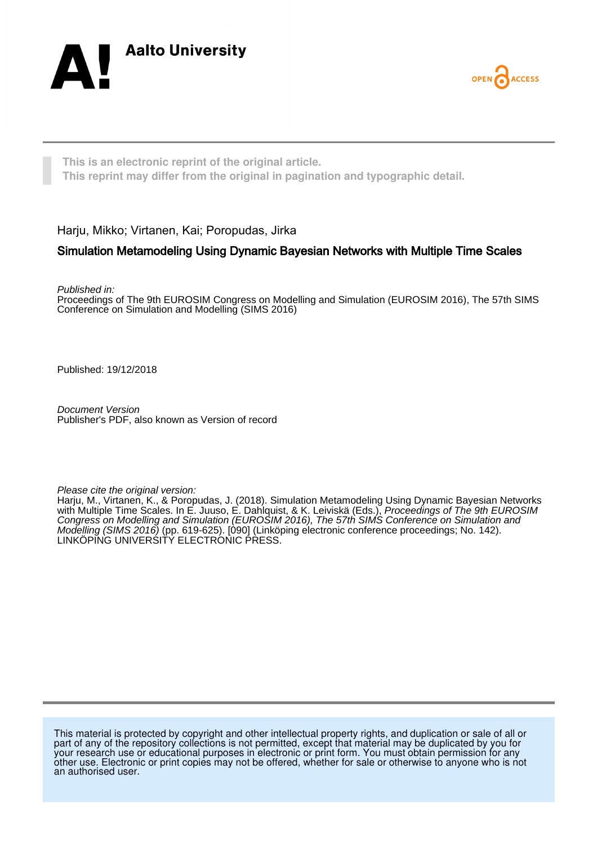



**This is an electronic reprint of the original article. This reprint may differ from the original in pagination and typographic detail.**

Harju, Mikko; Virtanen, Kai; Poropudas, Jirka

### Simulation Metamodeling Using Dynamic Bayesian Networks with Multiple Time Scales

Published in:

Proceedings of The 9th EUROSIM Congress on Modelling and Simulation (EUROSIM 2016), The 57th SIMS Conference on Simulation and Modelling (SIMS 2016)

Published: 19/12/2018

Document Version Publisher's PDF, also known as Version of record

Please cite the original version:

Harju, M., Virtanen, K., & Poropudas, J. (2018). Simulation Metamodeling Using Dynamic Bayesian Networks with Multiple Time Scales. In E. Juuso, E. Dahlquist, & K. Leiviskä (Eds.), *Proceedings of The 9th EUROSIM* Congress on Modelling and Simulation (EUROSIM 2016), The 57th SIMS Conference on Simulation and Modelling (SIMS 2016) (pp. 619-625). [090] (Linköping electronic conference proceedings; No. 142). LINKÖPING UNIVERSITY ELECTRONIC PRESS.

This material is protected by copyright and other intellectual property rights, and duplication or sale of all or part of any of the repository collections is not permitted, except that material may be duplicated by you for your research use or educational purposes in electronic or print form. You must obtain permission for any other use. Electronic or print copies may not be offered, whether for sale or otherwise to anyone who is not an authorised user.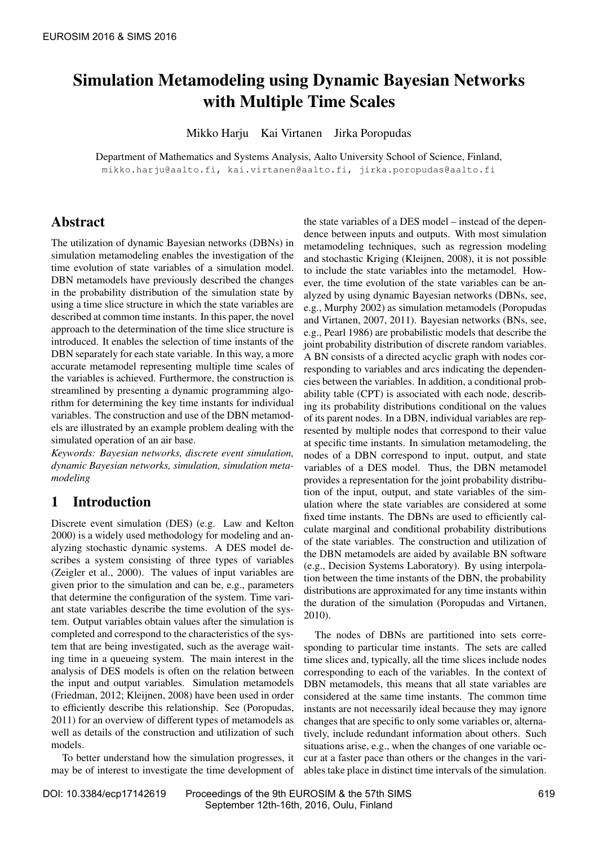# Simulation Metamodeling using Dynamic Bayesian Networks with Multiple Time Scales

Mikko Harju Kai Virtanen Jirka Poropudas

Department of Mathematics and Systems Analysis, Aalto University School of Science, Finland, mikko.harju@aalto.fi, kai.virtanen@aalto.fi, jirka.poropudas@aalto.fi

# Abstract

The utilization of dynamic Bayesian networks (DBNs) in simulation metamodeling enables the investigation of the time evolution of state variables of a simulation model. DBN metamodels have previously described the changes in the probability distribution of the simulation state by using a time slice structure in which the state variables are described at common time instants. In this paper, the novel approach to the determination of the time slice structure is introduced. It enables the selection of time instants of the DBN separately for each state variable. In this way, a more accurate metamodel representing multiple time scales of the variables is achieved. Furthermore, the construction is streamlined by presenting a dynamic programming algorithm for determining the key time instants for individual variables. The construction and use of the DBN metamodels are illustrated by an example problem dealing with the simulated operation of an air base.

*Keywords: Bayesian networks, discrete event simulation, dynamic Bayesian networks, simulation, simulation metamodeling*

## 1 Introduction

Discrete event simulation (DES) (e.g. [Law and Kelton](#page-7-0) [2000\)](#page-7-0) is a widely used methodology for modeling and analyzing stochastic dynamic systems. A DES model describes a system consisting of three types of variables [\(Zeigler et al., 2000\)](#page-7-1). The values of input variables are given prior to the simulation and can be, e.g., parameters that determine the configuration of the system. Time variant state variables describe the time evolution of the system. Output variables obtain values after the simulation is completed and correspond to the characteristics of the system that are being investigated, such as the average waiting time in a queueing system. The main interest in the analysis of DES models is often on the relation between the input and output variables. Simulation metamodels [\(Friedman, 2012;](#page-7-2) [Kleijnen, 2008\)](#page-7-3) have been used in order to efficiently describe this relationship. See [\(Poropudas,](#page-7-4) [2011\)](#page-7-4) for an overview of different types of metamodels as well as details of the construction and utilization of such models.

To better understand how the simulation progresses, it may be of interest to investigate the time development of the state variables of a DES model – instead of the dependence between inputs and outputs. With most simulation metamodeling techniques, such as regression modeling and stochastic Kriging [\(Kleijnen, 2008\)](#page-7-3), it is not possible to include the state variables into the metamodel. However, the time evolution of the state variables can be analyzed by using dynamic Bayesian networks (DBNs, see, e.g., [Murphy 2002\)](#page-7-5) as simulation metamodels [\(Poropudas](#page-7-6) [and Virtanen, 2007,](#page-7-6) [2011\)](#page-7-7). Bayesian networks (BNs, see, e.g., [Pearl 1986\)](#page-7-8) are probabilistic models that describe the joint probability distribution of discrete random variables. A BN consists of a directed acyclic graph with nodes corresponding to variables and arcs indicating the dependencies between the variables. In addition, a conditional probability table (CPT) is associated with each node, describing its probability distributions conditional on the values of its parent nodes. In a DBN, individual variables are represented by multiple nodes that correspond to their value at specific time instants. In simulation metamodeling, the nodes of a DBN correspond to input, output, and state variables of a DES model. Thus, the DBN metamodel provides a representation for the joint probability distribution of the input, output, and state variables of the simulation where the state variables are considered at some fixed time instants. The DBNs are used to efficiently calculate marginal and conditional probability distributions of the state variables. The construction and utilization of the DBN metamodels are aided by available BN software (e.g., [Decision Systems Laboratory\)](#page-7-9). By using interpolation between the time instants of the DBN, the probability distributions are approximated for any time instants within the duration of the simulation [\(Poropudas and Virtanen,](#page-7-10) [2010\)](#page-7-10).

The nodes of DBNs are partitioned into sets corresponding to particular time instants. The sets are called time slices and, typically, all the time slices include nodes corresponding to each of the variables. In the context of DBN metamodels, this means that all state variables are considered at the same time instants. The common time instants are not necessarily ideal because they may ignore changes that are specific to only some variables or, alternatively, include redundant information about others. Such situations arise, e.g., when the changes of one variable occur at a faster pace than others or the changes in the variables take place in distinct time intervals of the simulation.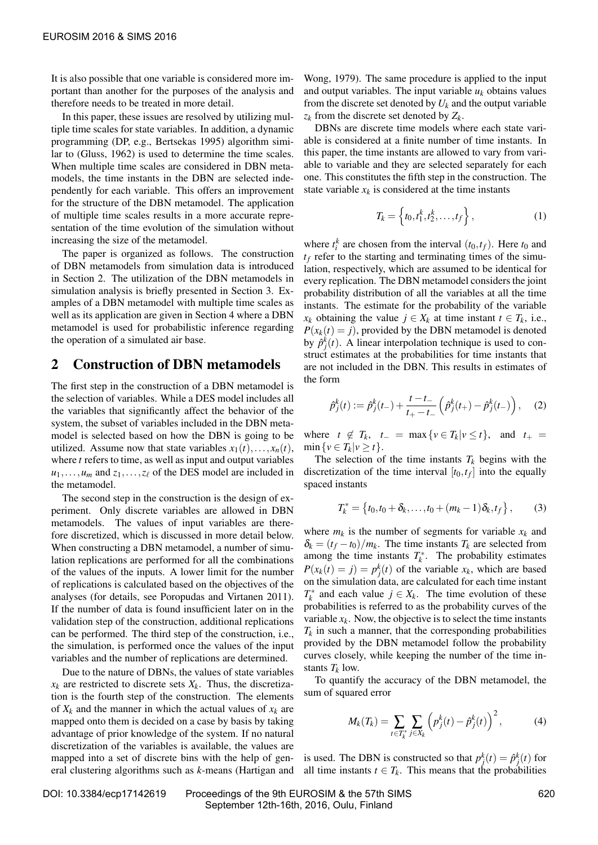It is also possible that one variable is considered more important than another for the purposes of the analysis and therefore needs to be treated in more detail.

In this paper, these issues are resolved by utilizing multiple time scales for state variables. In addition, a dynamic programming (DP, e.g., [Bertsekas 1995\)](#page-7-11) algorithm similar to [\(Gluss, 1962\)](#page-7-12) is used to determine the time scales. When multiple time scales are considered in DBN metamodels, the time instants in the DBN are selected independently for each variable. This offers an improvement for the structure of the DBN metamodel. The application of multiple time scales results in a more accurate representation of the time evolution of the simulation without increasing the size of the metamodel.

The paper is organized as follows. The construction of DBN metamodels from simulation data is introduced in Section [2.](#page-2-0) The utilization of the DBN metamodels in simulation analysis is briefly presented in Section [3.](#page-3-0) Examples of a DBN metamodel with multiple time scales as well as its application are given in Section [4](#page-4-0) where a DBN metamodel is used for probabilistic inference regarding the operation of a simulated air base.

#### <span id="page-2-0"></span>2 Construction of DBN metamodels

The first step in the construction of a DBN metamodel is the selection of variables. While a DES model includes all the variables that significantly affect the behavior of the system, the subset of variables included in the DBN metamodel is selected based on how the DBN is going to be utilized. Assume now that state variables  $x_1(t),...,x_n(t)$ , where *t* refers to time, as well as input and output variables  $u_1, \ldots, u_m$  and  $z_1, \ldots, z_\ell$  of the DES model are included in the metamodel.

The second step in the construction is the design of experiment. Only discrete variables are allowed in DBN metamodels. The values of input variables are therefore discretized, which is discussed in more detail below. When constructing a DBN metamodel, a number of simulation replications are performed for all the combinations of the values of the inputs. A lower limit for the number of replications is calculated based on the objectives of the analyses (for details, see [Poropudas and Virtanen 2011\)](#page-7-7). If the number of data is found insufficient later on in the validation step of the construction, additional replications can be performed. The third step of the construction, i.e., the simulation, is performed once the values of the input variables and the number of replications are determined.

Due to the nature of DBNs, the values of state variables  $x_k$  are restricted to discrete sets  $X_k$ . Thus, the discretization is the fourth step of the construction. The elements of  $X_k$  and the manner in which the actual values of  $x_k$  are mapped onto them is decided on a case by basis by taking advantage of prior knowledge of the system. If no natural discretization of the variables is available, the values are mapped into a set of discrete bins with the help of general clustering algorithms such as *k*-means [\(Hartigan and](#page-7-13) [Wong, 1979\)](#page-7-13). The same procedure is applied to the input and output variables. The input variable  $u_k$  obtains values from the discrete set denoted by  $U_k$  and the output variable *z<sup>k</sup>* from the discrete set denoted by *Z<sup>k</sup>* .

DBNs are discrete time models where each state variable is considered at a finite number of time instants. In this paper, the time instants are allowed to vary from variable to variable and they are selected separately for each one. This constitutes the fifth step in the construction. The state variable  $x_k$  is considered at the time instants

$$
T_k = \left\{ t_0, t_1^k, t_2^k, \dots, t_f \right\},\tag{1}
$$

where  $t_i^k$  are chosen from the interval  $(t_0, t_f)$ . Here  $t_0$  and  $t_f$  refer to the starting and terminating times of the simulation, respectively, which are assumed to be identical for every replication. The DBN metamodel considers the joint probability distribution of all the variables at all the time instants. The estimate for the probability of the variable *x*<sub>*k*</sub> obtaining the value *j*  $\in$  *X*<sub>*k*</sub> at time instant *t*  $\in$  *T*<sub>*k*</sub>, i.e.,  $P(x_k(t) = j)$ , provided by the DBN metamodel is denoted by  $\hat{p}_j^k(t)$ . A linear interpolation technique is used to construct estimates at the probabilities for time instants that are not included in the DBN. This results in estimates of the form

$$
\hat{p}_j^k(t) := \hat{p}_j^k(t_-) + \frac{t - t_-}{t_+ - t_-} \left( \hat{p}_j^k(t_+) - \hat{p}_j^k(t_-) \right), \quad (2)
$$

where  $t \notin T_k$ ,  $t_{-} = \max\{v \in T_k | v \leq t\}$ , and  $t_{+} =$  $\min \{v \in T_k | v \geq t\}.$ 

The selection of the time instants  $T_k$  begins with the discretization of the time interval  $[t_0, t_f]$  into the equally spaced instants

$$
T_k^* = \{t_0, t_0 + \delta_k, \dots, t_0 + (m_k - 1)\delta_k, t_f\},\qquad(3)
$$

where  $m_k$  is the number of segments for variable  $x_k$  and  $\delta_k = (t_f - t_0)/m_k$ . The time instants  $T_k$  are selected from among the time instants  $T_k^*$ . The probability estimates  $P(x_k(t) = j) = p_j^k(t)$  of the variable  $x_k$ , which are based on the simulation data, are calculated for each time instant  $T_k^*$  and each value  $j \in X_k$ . The time evolution of these probabilities is referred to as the probability curves of the variable  $x_k$ . Now, the objective is to select the time instants  $T_k$  in such a manner, that the corresponding probabilities provided by the DBN metamodel follow the probability curves closely, while keeping the number of the time instants  $T_k$  low.

To quantify the accuracy of the DBN metamodel, the sum of squared error

$$
M_k(T_k) = \sum_{t \in T_k^*} \sum_{j \in X_k} \left( p_j^k(t) - \hat{p}_j^k(t) \right)^2, \tag{4}
$$

is used. The DBN is constructed so that  $p_j^k(t) = \hat{p}_j^k(t)$  for all time instants  $t \in T_k$ . This means that the probabilities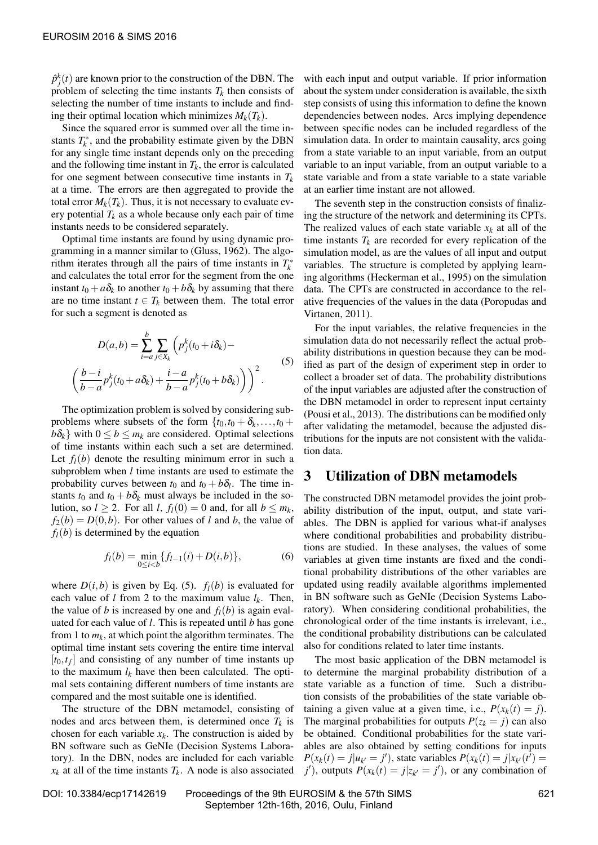<span id="page-3-1"></span> $\sqrt{ }$ 

 $\hat{p}_j^k(t)$  are known prior to the construction of the DBN. The problem of selecting the time instants  $T_k$  then consists of selecting the number of time instants to include and finding their optimal location which minimizes  $M_k(T_k)$ .

Since the squared error is summed over all the time instants  $T_k^*$ , and the probability estimate given by the DBN for any single time instant depends only on the preceding and the following time instant in  $T_k$ , the error is calculated for one segment between consecutive time instants in  $T_k$ at a time. The errors are then aggregated to provide the total error  $M_k(T_k)$ . Thus, it is not necessary to evaluate every potential  $T_k$  as a whole because only each pair of time instants needs to be considered separately.

Optimal time instants are found by using dynamic programming in a manner similar to [\(Gluss, 1962\)](#page-7-12). The algorithm iterates through all the pairs of time instants in  $T_k^*$ and calculates the total error for the segment from the one instant  $t_0 + a\delta_k$  to another  $t_0 + b\delta_k$  by assuming that there are no time instant  $t \in T_k$  between them. The total error for such a segment is denoted as

$$
D(a,b) = \sum_{i=a}^{b} \sum_{j \in X_k} \left( p_j^k (t_0 + i \delta_k) -
$$
  
\n
$$
\frac{b-i}{b-a} p_j^k (t_0 + a \delta_k) + \frac{i-a}{b-a} p_j^k (t_0 + b \delta_k) \right) \bigg)^2.
$$
\n
$$
(5)
$$

The optimization problem is solved by considering subproblems where subsets of the form  $\{t_0, t_0 + \delta_k, \ldots, t_0 + \delta_k\}$  $b\delta_k$  with  $0 \leq b \leq m_k$  are considered. Optimal selections of time instants within each such a set are determined. Let  $f_l(b)$  denote the resulting minimum error in such a subproblem when *l* time instants are used to estimate the probability curves between  $t_0$  and  $t_0 + b\delta_l$ . The time instants  $t_0$  and  $t_0 + b\delta_k$  must always be included in the solution, so  $l \ge 2$ . For all *l*,  $f_l(0) = 0$  and, for all  $b \le m_k$ ,  $f_2(b) = D(0, b)$ . For other values of *l* and *b*, the value of  $f_l(b)$  is determined by the equation

$$
f_l(b) = \min_{0 \le i < b} \{ f_{l-1}(i) + D(i, b) \},\tag{6}
$$

where  $D(i, b)$  is given by Eq. [\(5\)](#page-3-1).  $f_i(b)$  is evaluated for each value of *l* from 2 to the maximum value  $l_k$ . Then, the value of *b* is increased by one and  $f_l(b)$  is again evaluated for each value of *l*. This is repeated until *b* has gone from 1 to  $m_k$ , at which point the algorithm terminates. The optimal time instant sets covering the entire time interval  $[t_0, t_f]$  and consisting of any number of time instants up to the maximum  $l_k$  have then been calculated. The optimal sets containing different numbers of time instants are compared and the most suitable one is identified.

The structure of the DBN metamodel, consisting of nodes and arcs between them, is determined once  $T_k$  is chosen for each variable  $x_k$ . The construction is aided by BN software such as GeNIe [\(Decision Systems Labora](#page-7-9)[tory\)](#page-7-9). In the DBN, nodes are included for each variable  $x_k$  at all of the time instants  $T_k$ . A node is also associated

with each input and output variable. If prior information about the system under consideration is available, the sixth step consists of using this information to define the known dependencies between nodes. Arcs implying dependence between specific nodes can be included regardless of the simulation data. In order to maintain causality, arcs going from a state variable to an input variable, from an output variable to an input variable, from an output variable to a state variable and from a state variable to a state variable at an earlier time instant are not allowed.

The seventh step in the construction consists of finalizing the structure of the network and determining its CPTs. The realized values of each state variable  $x_k$  at all of the time instants  $T_k$  are recorded for every replication of the simulation model, as are the values of all input and output variables. The structure is completed by applying learning algorithms [\(Heckerman et al., 1995\)](#page-7-14) on the simulation data. The CPTs are constructed in accordance to the relative frequencies of the values in the data [\(Poropudas and](#page-7-7) [Virtanen, 2011\)](#page-7-7).

For the input variables, the relative frequencies in the simulation data do not necessarily reflect the actual probability distributions in question because they can be modified as part of the design of experiment step in order to collect a broader set of data. The probability distributions of the input variables are adjusted after the construction of the DBN metamodel in order to represent input certainty [\(Pousi et al., 2013\)](#page-7-15). The distributions can be modified only after validating the metamodel, because the adjusted distributions for the inputs are not consistent with the validation data.

#### <span id="page-3-0"></span>3 Utilization of DBN metamodels

The constructed DBN metamodel provides the joint probability distribution of the input, output, and state variables. The DBN is applied for various what-if analyses where conditional probabilities and probability distributions are studied. In these analyses, the values of some variables at given time instants are fixed and the conditional probability distributions of the other variables are updated using readily available algorithms implemented in BN software such as GeNIe [\(Decision Systems Labo](#page-7-9)[ratory\)](#page-7-9). When considering conditional probabilities, the chronological order of the time instants is irrelevant, i.e., the conditional probability distributions can be calculated also for conditions related to later time instants.

The most basic application of the DBN metamodel is to determine the marginal probability distribution of a state variable as a function of time. Such a distribution consists of the probabilities of the state variable obtaining a given value at a given time, i.e.,  $P(x_k(t) = i)$ . The marginal probabilities for outputs  $P(z_k = j)$  can also be obtained. Conditional probabilities for the state variables are also obtained by setting conditions for inputs  $P(x_k(t) = j | u_{k'} = j')$ , state variables  $P(x_k(t) = j | x_{k'}(t') = j$ *j*<sup> $\prime$ </sup>), outputs  $P(x_k(t) = j | z_{k'} = j')$ , or any combination of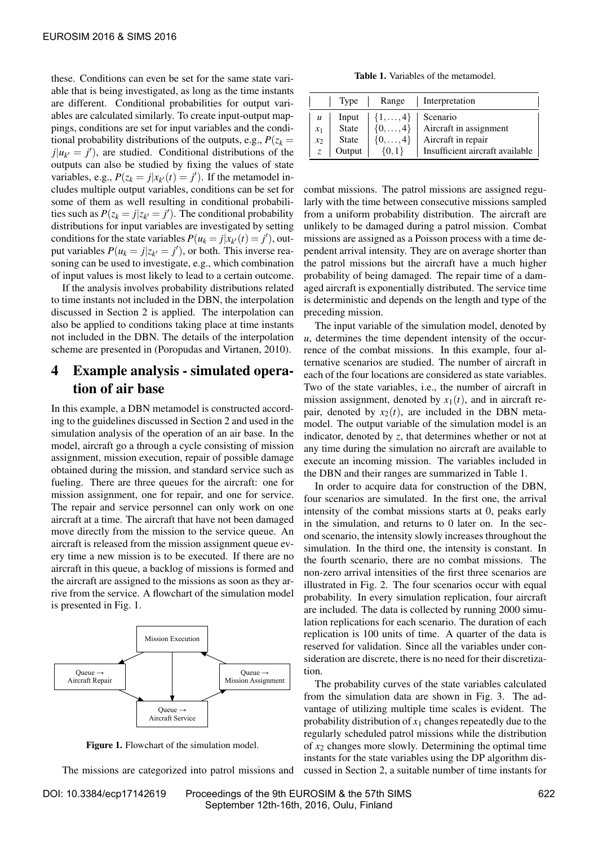these. Conditions can even be set for the same state variable that is being investigated, as long as the time instants are different. Conditional probabilities for output variables are calculated similarly. To create input-output mappings, conditions are set for input variables and the conditional probability distributions of the outputs, e.g.,  $P(z_k =$  $j|u_{k'} = j'$ , are studied. Conditional distributions of the outputs can also be studied by fixing the values of state variables, e.g.,  $P(z_k = j | x_{k'}(t) = j')$ . If the metamodel includes multiple output variables, conditions can be set for some of them as well resulting in conditional probabilities such as  $P(z_k = j | z_{k'} = j')$ . The conditional probability distributions for input variables are investigated by setting conditions for the state variables  $P(u_k = j | x_{k'}(t) = j')$ , output variables  $P(u_k = j | z_{k'} = j')$ , or both. This inverse reasoning can be used to investigate, e.g., which combination of input values is most likely to lead to a certain outcome.

If the analysis involves probability distributions related to time instants not included in the DBN, the interpolation discussed in Section [2](#page-2-0) is applied. The interpolation can also be applied to conditions taking place at time instants not included in the DBN. The details of the interpolation scheme are presented in [\(Poropudas and Virtanen, 2010\)](#page-7-10).

# <span id="page-4-0"></span>4 Example analysis - simulated operation of air base

In this example, a DBN metamodel is constructed according to the guidelines discussed in Section [2](#page-2-0) and used in the simulation analysis of the operation of an air base. In the model, aircraft go a through a cycle consisting of mission assignment, mission execution, repair of possible damage obtained during the mission, and standard service such as fueling. There are three queues for the aircraft: one for mission assignment, one for repair, and one for service. The repair and service personnel can only work on one aircraft at a time. The aircraft that have not been damaged move directly from the mission to the service queue. An aircraft is released from the mission assignment queue every time a new mission is to be executed. If there are no aircraft in this queue, a backlog of missions is formed and the aircraft are assigned to the missions as soon as they arrive from the service. A flowchart of the simulation model is presented in Fig. [1.](#page-4-1)

<span id="page-4-1"></span>

Figure 1. Flowchart of the simulation model.

The missions are categorized into patrol missions and

Table 1. Variables of the metamodel.

<span id="page-4-2"></span>

|                  | Type         | Range            | Interpretation                  |
|------------------|--------------|------------------|---------------------------------|
| $\boldsymbol{u}$ | Input        | $\{1,\ldots,4\}$ | Scenario                        |
| $x_1$            | State        | $\{0,\ldots,4\}$ | Aircraft in assignment          |
| $x_2$            | <b>State</b> | $\{0,\ldots,4\}$ | Aircraft in repair              |
| $Z_{\cdot}$      | Output       | $\{0,1\}$        | Insufficient aircraft available |

combat missions. The patrol missions are assigned regularly with the time between consecutive missions sampled from a uniform probability distribution. The aircraft are unlikely to be damaged during a patrol mission. Combat missions are assigned as a Poisson process with a time dependent arrival intensity. They are on average shorter than the patrol missions but the aircraft have a much higher probability of being damaged. The repair time of a damaged aircraft is exponentially distributed. The service time is deterministic and depends on the length and type of the preceding mission.

The input variable of the simulation model, denoted by *u*, determines the time dependent intensity of the occurrence of the combat missions. In this example, four alternative scenarios are studied. The number of aircraft in each of the four locations are considered as state variables. Two of the state variables, i.e., the number of aircraft in mission assignment, denoted by  $x_1(t)$ , and in aircraft repair, denoted by  $x_2(t)$ , are included in the DBN metamodel. The output variable of the simulation model is an indicator, denoted by *z*, that determines whether or not at any time during the simulation no aircraft are available to execute an incoming mission. The variables included in the DBN and their ranges are summarized in Table [1.](#page-4-2)

In order to acquire data for construction of the DBN, four scenarios are simulated. In the first one, the arrival intensity of the combat missions starts at 0, peaks early in the simulation, and returns to 0 later on. In the second scenario, the intensity slowly increases throughout the simulation. In the third one, the intensity is constant. In the fourth scenario, there are no combat missions. The non-zero arrival intensities of the first three scenarios are illustrated in Fig. [2.](#page-5-0) The four scenarios occur with equal probability. In every simulation replication, four aircraft are included. The data is collected by running 2000 simulation replications for each scenario. The duration of each replication is 100 units of time. A quarter of the data is reserved for validation. Since all the variables under consideration are discrete, there is no need for their discretization.

The probability curves of the state variables calculated from the simulation data are shown in Fig. [3.](#page-5-1) The advantage of utilizing multiple time scales is evident. The probability distribution of  $x_1$  changes repeatedly due to the regularly scheduled patrol missions while the distribution of *x*<sup>2</sup> changes more slowly. Determining the optimal time instants for the state variables using the DP algorithm discussed in Section [2,](#page-2-0) a suitable number of time instants for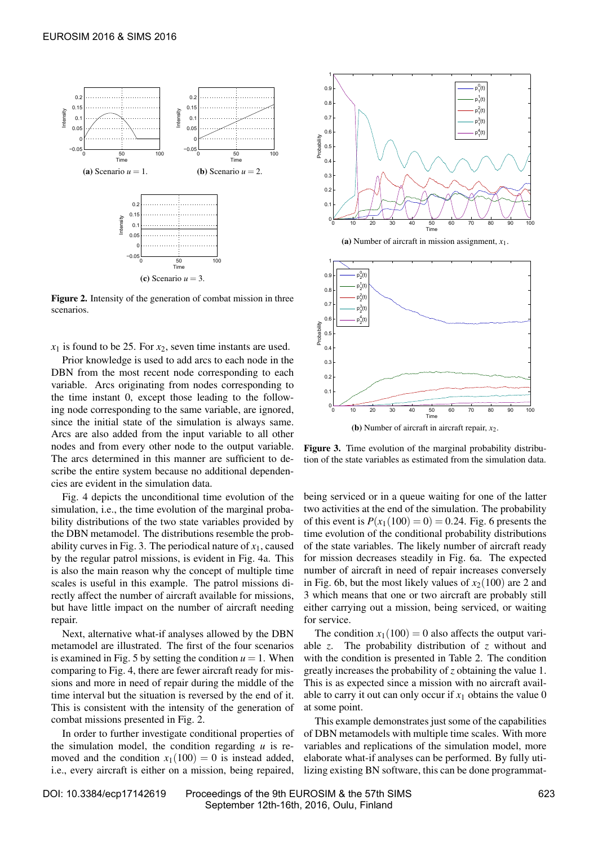<span id="page-5-0"></span>

Figure 2. Intensity of the generation of combat mission in three scenarios.

 $x_1$  is found to be 25. For  $x_2$ , seven time instants are used.

Prior knowledge is used to add arcs to each node in the DBN from the most recent node corresponding to each variable. Arcs originating from nodes corresponding to the time instant 0, except those leading to the following node corresponding to the same variable, are ignored, since the initial state of the simulation is always same. Arcs are also added from the input variable to all other nodes and from every other node to the output variable. The arcs determined in this manner are sufficient to describe the entire system because no additional dependencies are evident in the simulation data.

Fig. [4](#page-6-0) depicts the unconditional time evolution of the simulation, i.e., the time evolution of the marginal probability distributions of the two state variables provided by the DBN metamodel. The distributions resemble the prob-ability curves in Fig. [3.](#page-5-1) The periodical nature of  $x_1$ , caused by the regular patrol missions, is evident in Fig. [4a.](#page-6-1) This is also the main reason why the concept of multiple time scales is useful in this example. The patrol missions directly affect the number of aircraft available for missions, but have little impact on the number of aircraft needing repair.

Next, alternative what-if analyses allowed by the DBN metamodel are illustrated. The first of the four scenarios is examined in Fig. [5](#page-6-2) by setting the condition  $u = 1$ . When comparing to Fig. [4,](#page-6-0) there are fewer aircraft ready for missions and more in need of repair during the middle of the time interval but the situation is reversed by the end of it. This is consistent with the intensity of the generation of combat missions presented in Fig. [2.](#page-5-0)

In order to further investigate conditional properties of the simulation model, the condition regarding *u* is removed and the condition  $x_1(100) = 0$  is instead added, i.e., every aircraft is either on a mission, being repaired,

<span id="page-5-1"></span>

(a) Number of aircraft in mission assignment, *x*1.



Figure 3. Time evolution of the marginal probability distribution of the state variables as estimated from the simulation data.

being serviced or in a queue waiting for one of the latter two activities at the end of the simulation. The probability of this event is  $P(x_1(100) = 0) = 0.24$ . Fig. [6](#page-7-16) presents the time evolution of the conditional probability distributions of the state variables. The likely number of aircraft ready for mission decreases steadily in Fig. [6a.](#page-7-17) The expected number of aircraft in need of repair increases conversely in Fig. [6b,](#page-7-18) but the most likely values of  $x_2(100)$  are 2 and 3 which means that one or two aircraft are probably still either carrying out a mission, being serviced, or waiting for service.

The condition  $x_1(100) = 0$  also affects the output variable *z*. The probability distribution of *z* without and with the condition is presented in Table [2.](#page-6-3) The condition greatly increases the probability of *z* obtaining the value 1. This is as expected since a mission with no aircraft available to carry it out can only occur if  $x_1$  obtains the value 0 at some point.

This example demonstrates just some of the capabilities of DBN metamodels with multiple time scales. With more variables and replications of the simulation model, more elaborate what-if analyses can be performed. By fully utilizing existing BN software, this can be done programmat-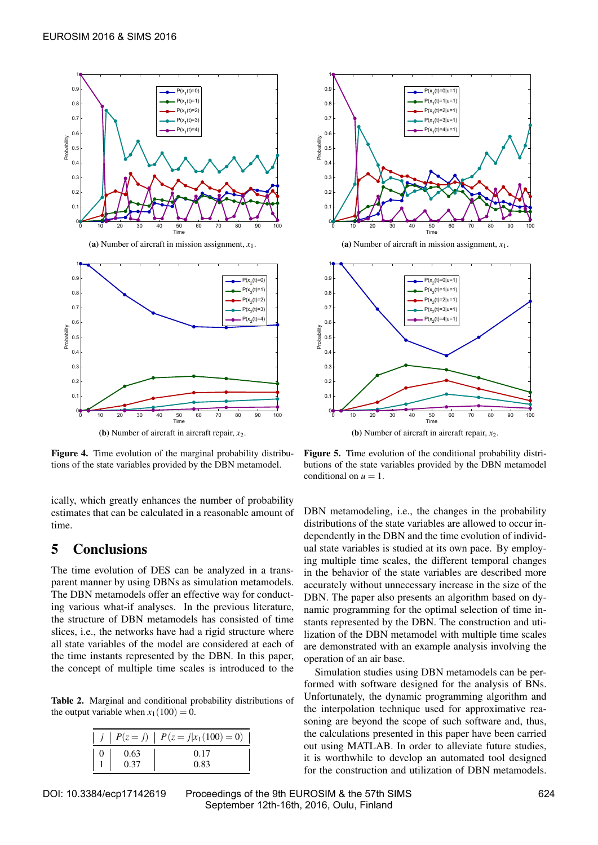<span id="page-6-1"></span><span id="page-6-0"></span>

(a) Number of aircraft in mission assignment, *x*1.



(b) Number of aircraft in aircraft repair, *x*2.

Figure 4. Time evolution of the marginal probability distributions of the state variables provided by the DBN metamodel.

ically, which greatly enhances the number of probability estimates that can be calculated in a reasonable amount of time.

#### 5 Conclusions

The time evolution of DES can be analyzed in a transparent manner by using DBNs as simulation metamodels. The DBN metamodels offer an effective way for conducting various what-if analyses. In the previous literature, the structure of DBN metamodels has consisted of time slices, i.e., the networks have had a rigid structure where all state variables of the model are considered at each of the time instants represented by the DBN. In this paper, the concept of multiple time scales is introduced to the

<span id="page-6-3"></span>Table 2. Marginal and conditional probability distributions of the output variable when  $x_1(100) = 0$ .

|      | $j   P(z = j)   P(z = j   x_1(100) = 0)$ |
|------|------------------------------------------|
| 0.63 | 0.17                                     |
| 0.37 | 0.83                                     |

<span id="page-6-2"></span>

(a) Number of aircraft in mission assignment, *x*1.



(b) Number of aircraft in aircraft repair, *x*2.

Figure 5. Time evolution of the conditional probability distributions of the state variables provided by the DBN metamodel conditional on  $u = 1$ .

DBN metamodeling, i.e., the changes in the probability distributions of the state variables are allowed to occur independently in the DBN and the time evolution of individual state variables is studied at its own pace. By employing multiple time scales, the different temporal changes in the behavior of the state variables are described more accurately without unnecessary increase in the size of the DBN. The paper also presents an algorithm based on dynamic programming for the optimal selection of time instants represented by the DBN. The construction and utilization of the DBN metamodel with multiple time scales are demonstrated with an example analysis involving the operation of an air base.

Simulation studies using DBN metamodels can be performed with software designed for the analysis of BNs. Unfortunately, the dynamic programming algorithm and the interpolation technique used for approximative reasoning are beyond the scope of such software and, thus, the calculations presented in this paper have been carried out using MATLAB. In order to alleviate future studies, it is worthwhile to develop an automated tool designed for the construction and utilization of DBN metamodels.

DOI: 10.3384/ecp17142619 Proceedings of the 9th EUROSIM & the 57th SIMS 624 September 12th-16th, 2016, Oulu, Finland